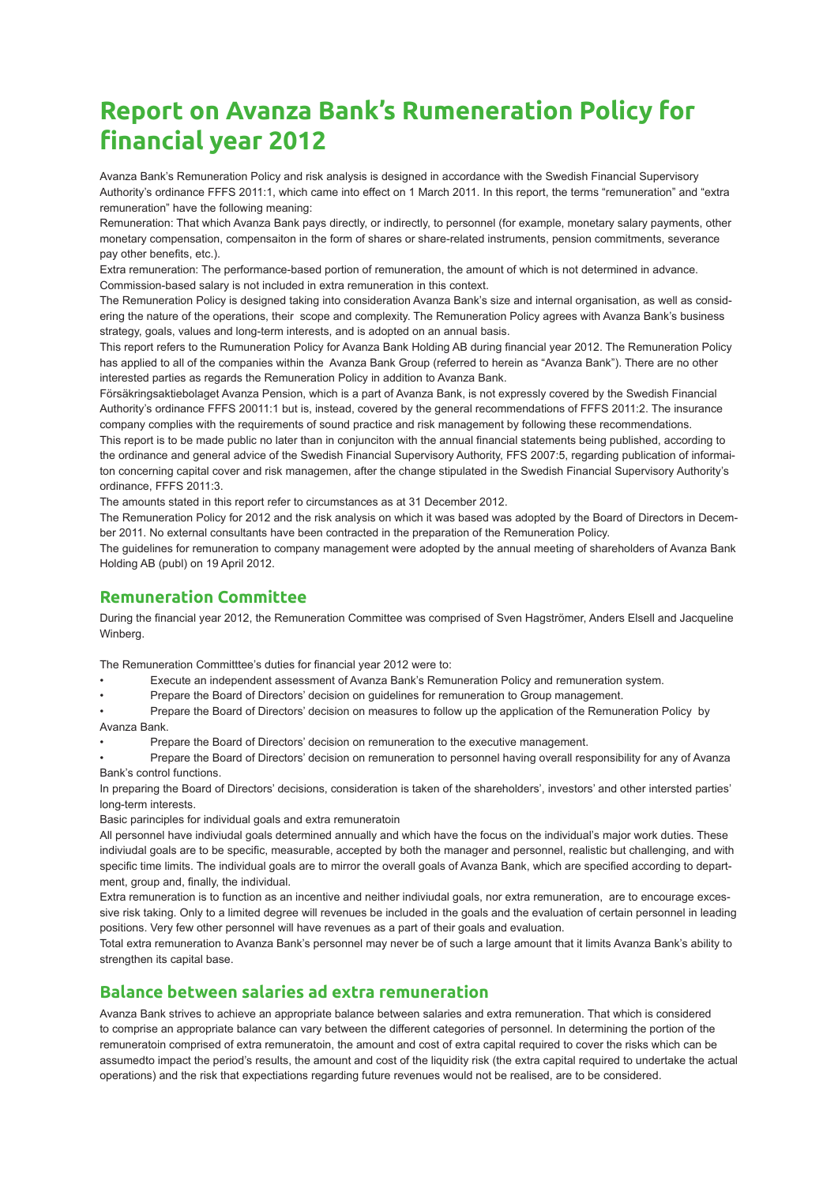# **Report on Avanza Bank's Rumeneration Policy for financial year 2012**

Avanza Bank's Remuneration Policy and risk analysis is designed in accordance with the Swedish Financial Supervisory Authority's ordinance FFFS 2011:1, which came into effect on 1 March 2011. In this report, the terms "remuneration" and "extra remuneration" have the following meaning:

Remuneration: That which Avanza Bank pays directly, or indirectly, to personnel (for example, monetary salary payments, other monetary compensation, compensaiton in the form of shares or share-related instruments, pension commitments, severance pay other benefits, etc.).

Extra remuneration: The performance-based portion of remuneration, the amount of which is not determined in advance. Commission-based salary is not included in extra remuneration in this context.

The Remuneration Policy is designed taking into consideration Avanza Bank's size and internal organisation, as well as considering the nature of the operations, their scope and complexity. The Remuneration Policy agrees with Avanza Bank's business strategy, goals, values and long-term interests, and is adopted on an annual basis.

This report refers to the Rumuneration Policy for Avanza Bank Holding AB during financial year 2012. The Remuneration Policy has applied to all of the companies within the Avanza Bank Group (referred to herein as "Avanza Bank"). There are no other interested parties as regards the Remuneration Policy in addition to Avanza Bank.

Försäkringsaktiebolaget Avanza Pension, which is a part of Avanza Bank, is not expressly covered by the Swedish Financial Authority's ordinance FFFS 20011:1 but is, instead, covered by the general recommendations of FFFS 2011:2. The insurance company complies with the requirements of sound practice and risk management by following these recommendations.

This report is to be made public no later than in conjunciton with the annual financial statements being published, according to the ordinance and general advice of the Swedish Financial Supervisory Authority, FFS 2007:5, regarding publication of informaiton concerning capital cover and risk managemen, after the change stipulated in the Swedish Financial Supervisory Authority's ordinance, FFFS 2011:3.

The amounts stated in this report refer to circumstances as at 31 December 2012.

The Remuneration Policy for 2012 and the risk analysis on which it was based was adopted by the Board of Directors in December 2011. No external consultants have been contracted in the preparation of the Remuneration Policy.

The guidelines for remuneration to company management were adopted by the annual meeting of shareholders of Avanza Bank Holding AB (publ) on 19 April 2012.

## **Remuneration Committee**

During the financial year 2012, the Remuneration Committee was comprised of Sven Hagströmer, Anders Elsell and Jacqueline Winberg.

The Remuneration Committtee's duties for financial year 2012 were to:

- Execute an independent assessment of Avanza Bank's Remuneration Policy and remuneration system.
- Prepare the Board of Directors' decision on guidelines for remuneration to Group management.

• Prepare the Board of Directors' decision on measures to follow up the application of the Remuneration Policy by Avanza Bank.

Prepare the Board of Directors' decision on remuneration to the executive management.

• Prepare the Board of Directors' decision on remuneration to personnel having overall responsibility for any of Avanza Bank's control functions.

In preparing the Board of Directors' decisions, consideration is taken of the shareholders', investors' and other intersted parties' long-term interests.

Basic parinciples for individual goals and extra remuneratoin

All personnel have indiviudal goals determined annually and which have the focus on the individual's major work duties. These indiviudal goals are to be specific, measurable, accepted by both the manager and personnel, realistic but challenging, and with specific time limits. The individual goals are to mirror the overall goals of Avanza Bank, which are specified according to department, group and, finally, the individual.

Extra remuneration is to function as an incentive and neither indiviudal goals, nor extra remuneration, are to encourage excessive risk taking. Only to a limited degree will revenues be included in the goals and the evaluation of certain personnel in leading positions. Very few other personnel will have revenues as a part of their goals and evaluation.

Total extra remuneration to Avanza Bank's personnel may never be of such a large amount that it limits Avanza Bank's ability to strengthen its capital base.

# **Balance between salaries ad extra remuneration**

Avanza Bank strives to achieve an appropriate balance between salaries and extra remuneration. That which is considered to comprise an appropriate balance can vary between the different categories of personnel. In determining the portion of the remuneratoin comprised of extra remuneratoin, the amount and cost of extra capital required to cover the risks which can be assumedto impact the period's results, the amount and cost of the liquidity risk (the extra capital required to undertake the actual operations) and the risk that expectiations regarding future revenues would not be realised, are to be considered.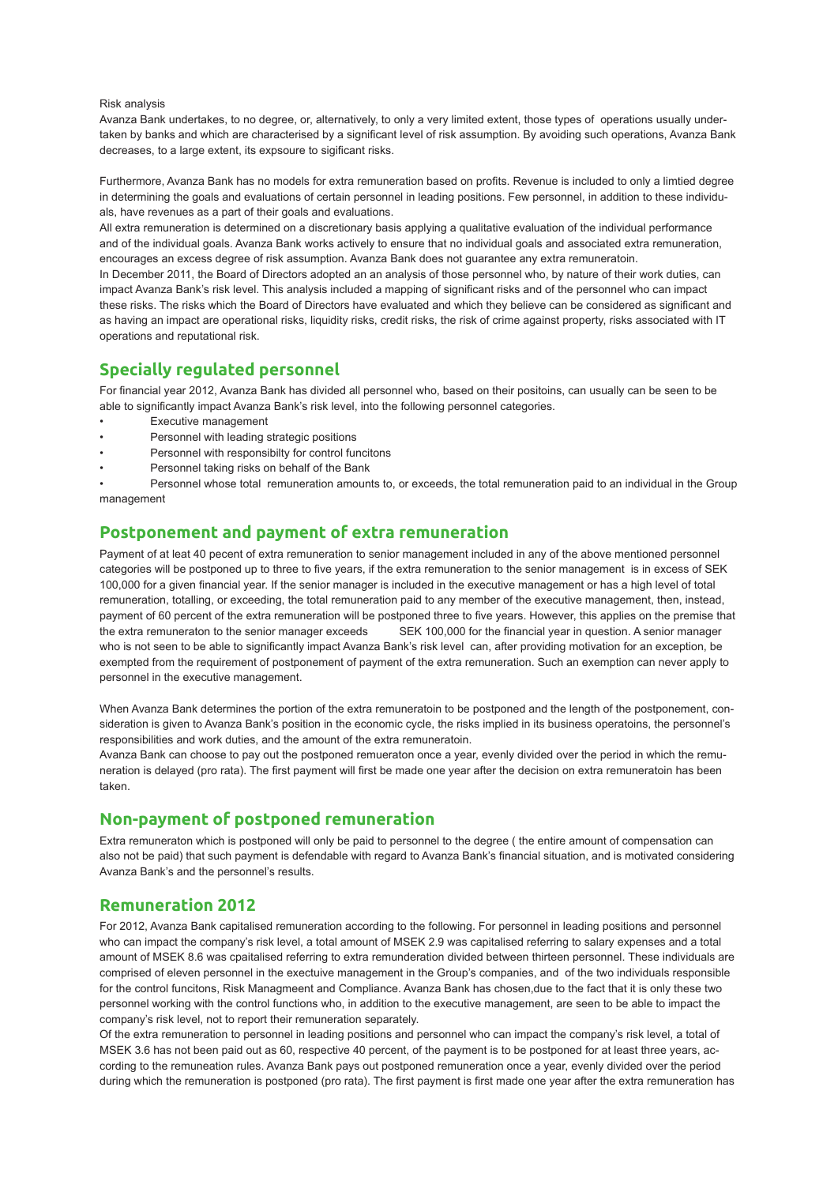#### Risk analysis

Avanza Bank undertakes, to no degree, or, alternatively, to only a very limited extent, those types of operations usually undertaken by banks and which are characterised by a significant level of risk assumption. By avoiding such operations, Avanza Bank decreases, to a large extent, its expsoure to sigificant risks.

Furthermore, Avanza Bank has no models for extra remuneration based on profits. Revenue is included to only a limtied degree in determining the goals and evaluations of certain personnel in leading positions. Few personnel, in addition to these individuals, have revenues as a part of their goals and evaluations.

All extra remuneration is determined on a discretionary basis applying a qualitative evaluation of the individual performance and of the individual goals. Avanza Bank works actively to ensure that no individual goals and associated extra remuneration, encourages an excess degree of risk assumption. Avanza Bank does not guarantee any extra remuneratoin.

In December 2011, the Board of Directors adopted an an analysis of those personnel who, by nature of their work duties, can impact Avanza Bank's risk level. This analysis included a mapping of significant risks and of the personnel who can impact these risks. The risks which the Board of Directors have evaluated and which they believe can be considered as significant and as having an impact are operational risks, liquidity risks, credit risks, the risk of crime against property, risks associated with IT operations and reputational risk.

### **Specially regulated personnel**

For financial year 2012, Avanza Bank has divided all personnel who, based on their positoins, can usually can be seen to be able to significantly impact Avanza Bank's risk level, into the following personnel categories.

- **Executive management**
- Personnel with leading strategic positions
- Personnel with responsibilty for control funcitons
- Personnel taking risks on behalf of the Bank

• Personnel whose total remuneration amounts to, or exceeds, the total remuneration paid to an individual in the Group management

### **Postponement and payment of extra remuneration**

Payment of at leat 40 pecent of extra remuneration to senior management included in any of the above mentioned personnel categories will be postponed up to three to five years, if the extra remuneration to the senior management is in excess of SEK 100,000 for a given financial year. If the senior manager is included in the executive management or has a high level of total remuneration, totalling, or exceeding, the total remuneration paid to any member of the executive management, then, instead, payment of 60 percent of the extra remuneration will be postponed three to five years. However, this applies on the premise that the extra remuneraton to the senior manager exceeds SEK 100,000 for the financial year in question. A senior manager who is not seen to be able to significantly impact Avanza Bank's risk level can, after providing motivation for an exception, be exempted from the requirement of postponement of payment of the extra remuneration. Such an exemption can never apply to personnel in the executive management.

When Avanza Bank determines the portion of the extra remuneratoin to be postponed and the length of the postponement, consideration is given to Avanza Bank's position in the economic cycle, the risks implied in its business operatoins, the personnel's responsibilities and work duties, and the amount of the extra remuneratoin.

Avanza Bank can choose to pay out the postponed remueraton once a year, evenly divided over the period in which the remuneration is delayed (pro rata). The first payment will first be made one year after the decision on extra remuneratoin has been taken.

# **Non-payment of postponed remuneration**

Extra remuneraton which is postponed will only be paid to personnel to the degree ( the entire amount of compensation can also not be paid) that such payment is defendable with regard to Avanza Bank's financial situation, and is motivated considering Avanza Bank's and the personnel's results.

#### **Remuneration 2012**

For 2012, Avanza Bank capitalised remuneration according to the following. For personnel in leading positions and personnel who can impact the company's risk level, a total amount of MSEK 2.9 was capitalised referring to salary expenses and a total amount of MSEK 8.6 was cpaitalised referring to extra remunderation divided between thirteen personnel. These individuals are comprised of eleven personnel in the exectuive management in the Group's companies, and of the two individuals responsible for the control funcitons, Risk Managmeent and Compliance. Avanza Bank has chosen,due to the fact that it is only these two personnel working with the control functions who, in addition to the executive management, are seen to be able to impact the company's risk level, not to report their remuneration separately.

Of the extra remuneration to personnel in leading positions and personnel who can impact the company's risk level, a total of MSEK 3.6 has not been paid out as 60, respective 40 percent, of the payment is to be postponed for at least three years, according to the remuneation rules. Avanza Bank pays out postponed remuneration once a year, evenly divided over the period during which the remuneration is postponed (pro rata). The first payment is first made one year after the extra remuneration has